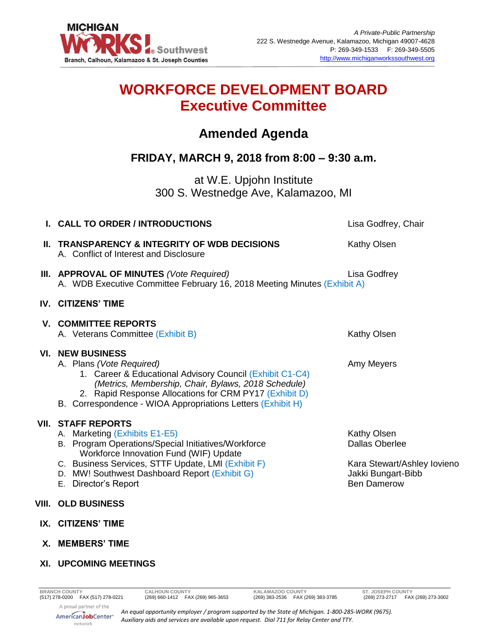

# **WORKFORCE DEVELOPMENT BOARD Executive Committee**

## **Amended Agenda**

### **FRIDAY, MARCH 9, 2018 from 8:00 – 9:30 a.m.**

at W.E. Upjohn Institute 300 S. Westnedge Ave, Kalamazoo, MI

| I. CALL TO ORDER / INTRODUCTIONS                                                                                                                                                                                                                                                                | Lisa Godfrey, Chair                                                                                             |
|-------------------------------------------------------------------------------------------------------------------------------------------------------------------------------------------------------------------------------------------------------------------------------------------------|-----------------------------------------------------------------------------------------------------------------|
| II. TRANSPARENCY & INTEGRITY OF WDB DECISIONS<br>A. Conflict of Interest and Disclosure                                                                                                                                                                                                         | Kathy Olsen                                                                                                     |
| III. APPROVAL OF MINUTES (Vote Required)<br>A. WDB Executive Committee February 16, 2018 Meeting Minutes (Exhibit A)                                                                                                                                                                            | Lisa Godfrey                                                                                                    |
| <b>IV. CITIZENS' TIME</b>                                                                                                                                                                                                                                                                       |                                                                                                                 |
| <b>V. COMMITTEE REPORTS</b><br>A. Veterans Committee (Exhibit B)                                                                                                                                                                                                                                | Kathy Olsen                                                                                                     |
| <b>VI. NEW BUSINESS</b><br>A. Plans (Vote Required)<br>1. Career & Educational Advisory Council (Exhibit C1-C4)<br>(Metrics, Membership, Chair, Bylaws, 2018 Schedule)<br>2. Rapid Response Allocations for CRM PY17 (Exhibit D)<br>B. Correspondence - WIOA Appropriations Letters (Exhibit H) | Amy Meyers                                                                                                      |
| <b>VII. STAFF REPORTS</b><br>A. Marketing (Exhibits E1-E5)<br>B. Program Operations/Special Initiatives/Workforce<br>Workforce Innovation Fund (WIF) Update<br>C. Business Services, STTF Update, LMI (Exhibit F)<br>D. MW! Southwest Dashboard Report (Exhibit G)<br>E. Director's Report      | Kathy Olsen<br><b>Dallas Oberlee</b><br>Kara Stewart/Ashley Iovieno<br>Jakki Bungart-Bibb<br><b>Ben Damerow</b> |
| VIII. OLD BUSINESS                                                                                                                                                                                                                                                                              |                                                                                                                 |
| IX. CITIZENS' TIME                                                                                                                                                                                                                                                                              |                                                                                                                 |
| X. MEMBERS' TIME                                                                                                                                                                                                                                                                                |                                                                                                                 |

**XI. UPCOMING MEETINGS**

A proud partner of the AmericanJobCenter<sup>®</sup> network

*An equal opportunity employer / program supported by the State of Michigan. 1-800-285-WORK (9675). Auxiliary aids and services are available upon request. Dial 711 for Relay Center and TTY.*